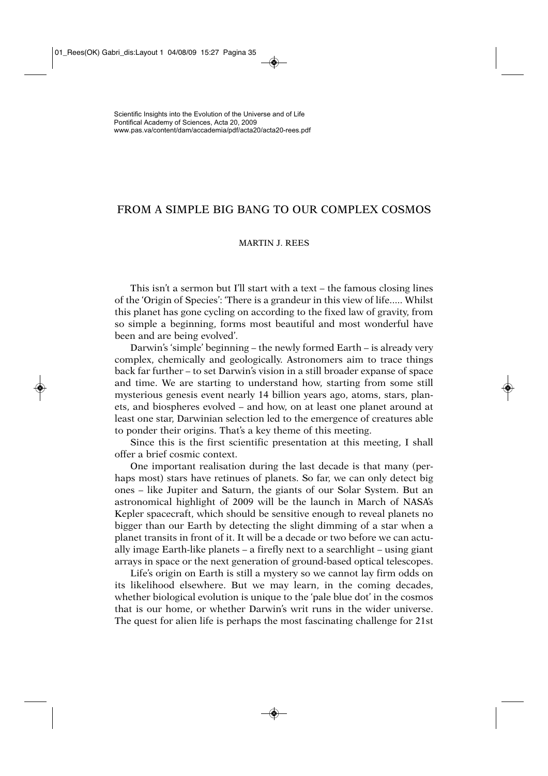## FROM A SIMPLE BIG BANG TO OUR COMPLEX COSMOS

## MARTIN J. REES

This isn't a sermon but I'll start with a text – the famous closing lines of the 'Origin of Species': 'There is a grandeur in this view of life..... Whilst this planet has gone cycling on according to the fixed law of gravity, from so simple a beginning, forms most beautiful and most wonderful have been and are being evolved'.

Darwin's 'simple' beginning – the newly formed Earth – is already very complex, chemically and geologically. Astronomers aim to trace things back far further – to set Darwin's vision in a still broader expanse of space and time. We are starting to understand how, starting from some still mysterious genesis event nearly 14 billion years ago, atoms, stars, planets, and biospheres evolved – and how, on at least one planet around at least one star, Darwinian selection led to the emergence of creatures able to ponder their origins. That's a key theme of this meeting.

Since this is the first scientific presentation at this meeting, I shall offer a brief cosmic context.

One important realisation during the last decade is that many (perhaps most) stars have retinues of planets. So far, we can only detect big ones – like Jupiter and Saturn, the giants of our Solar System. But an astronomical highlight of 2009 will be the launch in March of NASA's Kepler spacecraft, which should be sensitive enough to reveal planets no bigger than our Earth by detecting the slight dimming of a star when a planet transits in front of it. It will be a decade or two before we can actually image Earth-like planets – a firefly next to a searchlight – using giant arrays in space or the next generation of ground-based optical telescopes.

Life's origin on Earth is still a mystery so we cannot lay firm odds on its likelihood elsewhere. But we may learn, in the coming decades, whether biological evolution is unique to the 'pale blue dot' in the cosmos that is our home, or whether Darwin's writ runs in the wider universe. The quest for alien life is perhaps the most fascinating challenge for 21st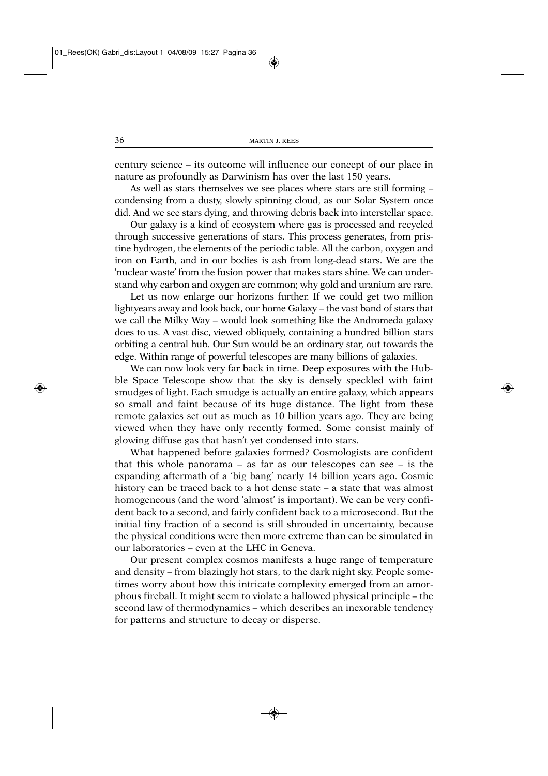century science – its outcome will influence our concept of our place in nature as profoundly as Darwinism has over the last 150 years.

As well as stars themselves we see places where stars are still forming – condensing from a dusty, slowly spinning cloud, as our Solar System once did. And we see stars dying, and throwing debris back into interstellar space.

Our galaxy is a kind of ecosystem where gas is processed and recycled through successive generations of stars. This process generates, from pristine hydrogen, the elements of the periodic table. All the carbon, oxygen and iron on Earth, and in our bodies is ash from long-dead stars. We are the 'nuclear waste' from the fusion power that makes stars shine. We can understand why carbon and oxygen are common; why gold and uranium are rare.

Let us now enlarge our horizons further. If we could get two million lightyears away and look back, our home Galaxy – the vast band of stars that we call the Milky Way – would look something like the Andromeda galaxy does to us. A vast disc, viewed obliquely, containing a hundred billion stars orbiting a central hub. Our Sun would be an ordinary star, out towards the edge. Within range of powerful telescopes are many billions of galaxies.

We can now look very far back in time. Deep exposures with the Hubble Space Telescope show that the sky is densely speckled with faint smudges of light. Each smudge is actually an entire galaxy, which appears so small and faint because of its huge distance. The light from these remote galaxies set out as much as 10 billion years ago. They are being viewed when they have only recently formed. Some consist mainly of glowing diffuse gas that hasn't yet condensed into stars.

What happened before galaxies formed? Cosmologists are confident that this whole panorama – as far as our telescopes can see – is the expanding aftermath of a 'big bang' nearly 14 billion years ago. Cosmic history can be traced back to a hot dense state – a state that was almost homogeneous (and the word 'almost' is important). We can be very confident back to a second, and fairly confident back to a microsecond. But the initial tiny fraction of a second is still shrouded in uncertainty, because the physical conditions were then more extreme than can be simulated in our laboratories – even at the LHC in Geneva.

Our present complex cosmos manifests a huge range of temperature and density – from blazingly hot stars, to the dark night sky. People sometimes worry about how this intricate complexity emerged from an amorphous fireball. It might seem to violate a hallowed physical principle – the second law of thermodynamics – which describes an inexorable tendency for patterns and structure to decay or disperse.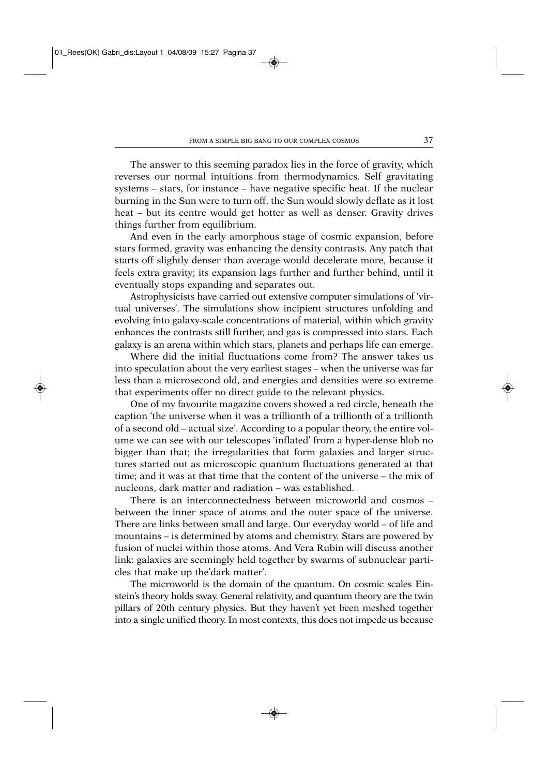The answer to this seeming paradox lies in the force of gravity, which reverses our normal intuitions from thermodynamics. Self gravitating systems – stars, for instance – have negative specific heat. If the nuclear burning in the Sun were to turn off, the Sun would slowly deflate as it lost heat – but its centre would get hotter as well as denser. Gravity drives things further from equilibrium.

And even in the early amorphous stage of cosmic expansion, before stars formed, gravity was enhancing the density contrasts. Any patch that starts off slightly denser than average would decelerate more, because it feels extra gravity; its expansion lags further and further behind, until it eventually stops expanding and separates out.

Astrophysicists have carried out extensive computer simulations of 'virtual universes'. The simulations show incipient structures unfolding and evolving into galaxy-scale concentrations of material, within which gravity enhances the contrasts still further, and gas is compressed into stars. Each galaxy is an arena within which stars, planets and perhaps life can emerge.

Where did the initial fluctuations come from? The answer takes us into speculation about the very earliest stages – when the universe was far less than a microsecond old, and energies and densities were so extreme that experiments offer no direct guide to the relevant physics.

One of my favourite magazine covers showed a red circle, beneath the caption 'the universe when it was a trillionth of a trillionth of a trillionth of a second old – actual size'. According to a popular theory, the entire volume we can see with our telescopes 'inflated' from a hyper-dense blob no bigger than that; the irregularities that form galaxies and larger structures started out as microscopic quantum fluctuations generated at that time; and it was at that time that the content of the universe – the mix of nucleons, dark matter and radiation – was established.

There is an interconnectedness between microworld and cosmos – between the inner space of atoms and the outer space of the universe. There are links between small and large. Our everyday world – of life and mountains – is determined by atoms and chemistry. Stars are powered by fusion of nuclei within those atoms. And Vera Rubin will discuss another link: galaxies are seemingly held together by swarms of subnuclear particles that make up the'dark matter'.

The microworld is the domain of the quantum. On cosmic scales Einstein's theory holds sway. General relativity, and quantum theory are the twin pillars of 20th century physics. But they haven't yet been meshed together into a single unified theory. In most contexts, this does not impede us because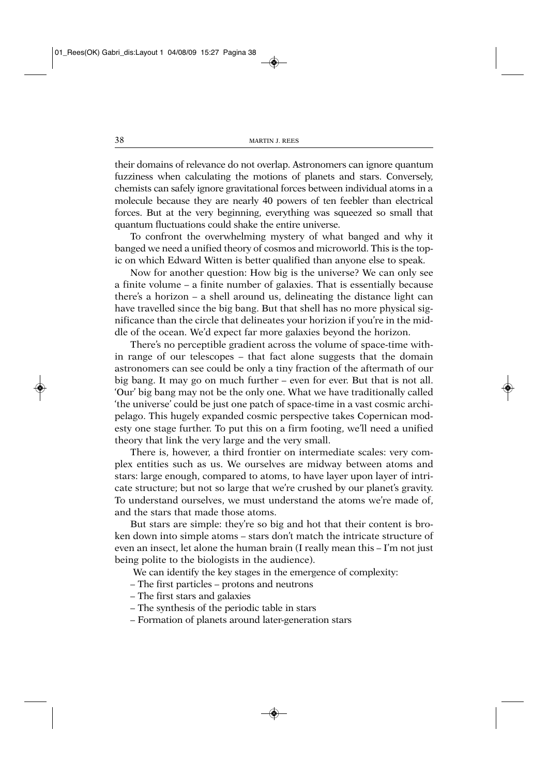their domains of relevance do not overlap. Astronomers can ignore quantum fuzziness when calculating the motions of planets and stars. Conversely, chemists can safely ignore gravitational forces between individual atoms in a molecule because they are nearly 40 powers of ten feebler than electrical forces. But at the very beginning, everything was squeezed so small that quantum fluctuations could shake the entire universe.

To confront the overwhelming mystery of what banged and why it banged we need a unified theory of cosmos and microworld. This is the topic on which Edward Witten is better qualified than anyone else to speak.

Now for another question: How big is the universe? We can only see a finite volume – a finite number of galaxies. That is essentially because there's a horizon – a shell around us, delineating the distance light can have travelled since the big bang. But that shell has no more physical significance than the circle that delineates your horizion if you're in the middle of the ocean. We'd expect far more galaxies beyond the horizon.

There's no perceptible gradient across the volume of space-time within range of our telescopes – that fact alone suggests that the domain astronomers can see could be only a tiny fraction of the aftermath of our big bang. It may go on much further – even for ever. But that is not all. 'Our' big bang may not be the only one. What we have traditionally called 'the universe' could be just one patch of space-time in a vast cosmic archipelago. This hugely expanded cosmic perspective takes Copernican modesty one stage further. To put this on a firm footing, we'll need a unified theory that link the very large and the very small.

There is, however, a third frontier on intermediate scales: very complex entities such as us. We ourselves are midway between atoms and stars: large enough, compared to atoms, to have layer upon layer of intricate structure; but not so large that we're crushed by our planet's gravity. To understand ourselves, we must understand the atoms we're made of, and the stars that made those atoms.

But stars are simple: they're so big and hot that their content is broken down into simple atoms – stars don't match the intricate structure of even an insect, let alone the human brain (I really mean this – I'm not just being polite to the biologists in the audience).

We can identify the key stages in the emergence of complexity:

- The first particles protons and neutrons
- The first stars and galaxies
- The synthesis of the periodic table in stars
- Formation of planets around later-generation stars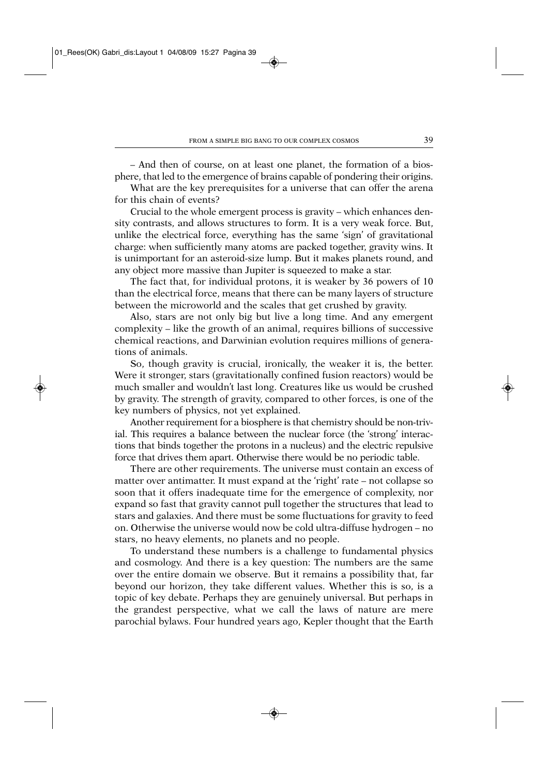– And then of course, on at least one planet, the formation of a biosphere, that led to the emergence of brains capable of pondering their origins.

What are the key prerequisites for a universe that can offer the arena for this chain of events?

Crucial to the whole emergent process is gravity – which enhances density contrasts, and allows structures to form. It is a very weak force. But, unlike the electrical force, everything has the same 'sign' of gravitational charge: when sufficiently many atoms are packed together, gravity wins. It is unimportant for an asteroid-size lump. But it makes planets round, and any object more massive than Jupiter is squeezed to make a star.

The fact that, for individual protons, it is weaker by 36 powers of 10 than the electrical force, means that there can be many layers of structure between the microworld and the scales that get crushed by gravity.

Also, stars are not only big but live a long time. And any emergent complexity – like the growth of an animal, requires billions of successive chemical reactions, and Darwinian evolution requires millions of generations of animals.

So, though gravity is crucial, ironically, the weaker it is, the better. Were it stronger, stars (gravitationally confined fusion reactors) would be much smaller and wouldn't last long. Creatures like us would be crushed by gravity. The strength of gravity, compared to other forces, is one of the key numbers of physics, not yet explained.

Another requirement for a biosphere is that chemistry should be non-trivial. This requires a balance between the nuclear force (the 'strong' interactions that binds together the protons in a nucleus) and the electric repulsive force that drives them apart. Otherwise there would be no periodic table.

There are other requirements. The universe must contain an excess of matter over antimatter. It must expand at the 'right' rate – not collapse so soon that it offers inadequate time for the emergence of complexity, nor expand so fast that gravity cannot pull together the structures that lead to stars and galaxies. And there must be some fluctuations for gravity to feed on. Otherwise the universe would now be cold ultra-diffuse hydrogen – no stars, no heavy elements, no planets and no people.

To understand these numbers is a challenge to fundamental physics and cosmology. And there is a key question: The numbers are the same over the entire domain we observe. But it remains a possibility that, far beyond our horizon, they take different values. Whether this is so, is a topic of key debate. Perhaps they are genuinely universal. But perhaps in the grandest perspective, what we call the laws of nature are mere parochial bylaws. Four hundred years ago, Kepler thought that the Earth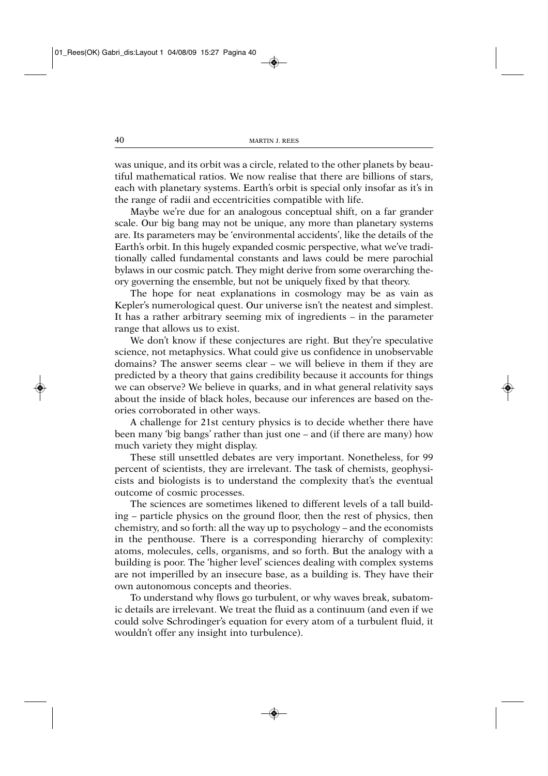was unique, and its orbit was a circle, related to the other planets by beautiful mathematical ratios. We now realise that there are billions of stars, each with planetary systems. Earth's orbit is special only insofar as it's in the range of radii and eccentricities compatible with life.

Maybe we're due for an analogous conceptual shift, on a far grander scale. Our big bang may not be unique, any more than planetary systems are. Its parameters may be 'environmental accidents', like the details of the Earth's orbit. In this hugely expanded cosmic perspective, what we've traditionally called fundamental constants and laws could be mere parochial bylaws in our cosmic patch. They might derive from some overarching theory governing the ensemble, but not be uniquely fixed by that theory.

The hope for neat explanations in cosmology may be as vain as Kepler's numerological quest. Our universe isn't the neatest and simplest. It has a rather arbitrary seeming mix of ingredients – in the parameter range that allows us to exist.

We don't know if these conjectures are right. But they're speculative science, not metaphysics. What could give us confidence in unobservable domains? The answer seems clear – we will believe in them if they are predicted by a theory that gains credibility because it accounts for things we can observe? We believe in quarks, and in what general relativity says about the inside of black holes, because our inferences are based on theories corroborated in other ways.

A challenge for 21st century physics is to decide whether there have been many 'big bangs' rather than just one – and (if there are many) how much variety they might display.

These still unsettled debates are very important. Nonetheless, for 99 percent of scientists, they are irrelevant. The task of chemists, geophysicists and biologists is to understand the complexity that's the eventual outcome of cosmic processes.

The sciences are sometimes likened to different levels of a tall building – particle physics on the ground floor, then the rest of physics, then chemistry, and so forth: all the way up to psychology – and the economists in the penthouse. There is a corresponding hierarchy of complexity: atoms, molecules, cells, organisms, and so forth. But the analogy with a building is poor. The 'higher level' sciences dealing with complex systems are not imperilled by an insecure base, as a building is. They have their own autonomous concepts and theories.

To understand why flows go turbulent, or why waves break, subatomic details are irrelevant. We treat the fluid as a continuum (and even if we could solve Schrodinger's equation for every atom of a turbulent fluid, it wouldn't offer any insight into turbulence).